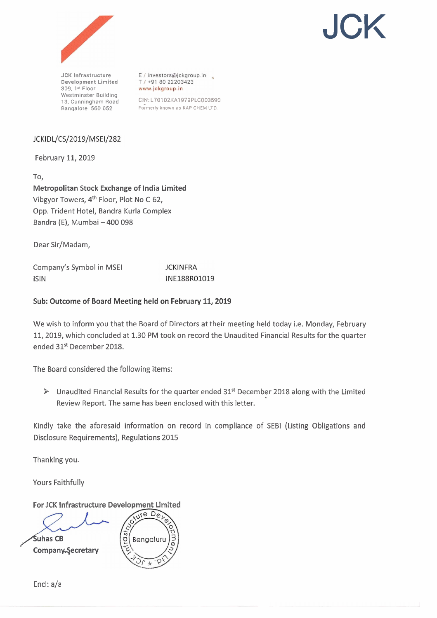



**JCK lnfrastructure Development Limited 309. 1" Floor Westminster Building 13. Cunningham Road Bangalore 560 052** 

E / investors@jckgroup.in T / +91 80 22203423 www.jckgroup.in

CIN:L70102KA1979PLCO03590  $For$  **Formerly known as KAP CHEM LTD.** 

## JCKIDL/CS/2019/MSEI/282

February 11,2019

To, Metropolitan Stock Exchange of India Limited Vibgyor Towers, **4th** Floor, Plot No C-62, Opp. Trident Hotel, Bandra Kurla Complex Bandra (E), Mumbai - 400 098

Dear Sir/Madam,

Company's Symbol in MSEl lSlN

**JCKINFRA** INF188R01019

## Sub: Outcome of Board Meeting held on February 11,2019

We wish to inform you that the Board of Directors at their meeting held today i.e. Monday, February 11,2019, which concluded at 1.30 PM took on record the Unaudited Financial Results for the quarter ended 31<sup>st</sup> December 2018.

The Board considered the following items:

**P** Unaudited Financial Results for the quarter ended 31\* December 2018 along with the Limited Review Report. The same has been enclosed with this letter.

Kindly take the aforesaid information on record in compliance of SEBI (Listing Obligations and Disclosure Requirements), Regulations 2015

Thanking you.

Yours Faithfully

For JCK Infrastructure Development Limited

 $\overline{\text{m}^2}$  ${\mathsf S}$ uhas CB Bengaluru Company.Secretary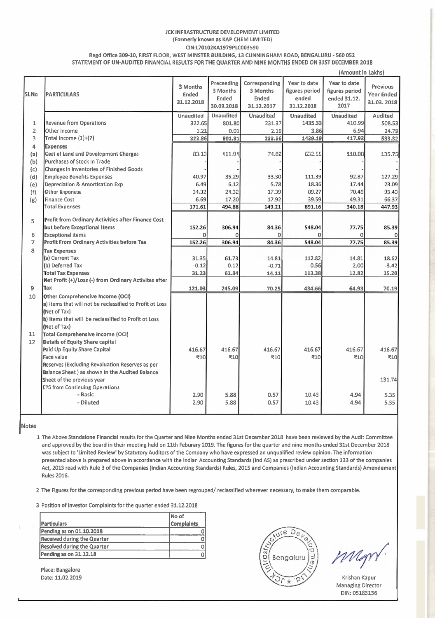#### JCK INFRASTRUCTURE DEVELOPMENT LIMITED (Formerly known as KAP CHEM LIMITED)

**CIN:L70102KA1979PLCO03590** 

Regd Office 309-10, FIRST FLOOR, WEST MINSTER BUILDING, 13 CUNNINGHAM ROAD, BENGALURU - 560 052 STATEMENT OF UN-AUDITED FINANCIAL RESULTS FOR THE QUARTER AND NINE MONTHS ENDED ON 31ST DECEMBER 2018

(Amount in Lakhs) For Beating Correspon<br>
Ended 3 Mont<br>
Ended Endec<br>
1.09.2018 31.12.20<br>
maudited Unaudit<br>
801.80 2<br>
801.81 2<br>
111.91 Year to date Preceeding Corresponding Year to date 3 Months Previous 3 Months 3 Months figures period figures period PARTICULARS SI.No Ended Year Ended Ended Ended ended ended 31.12. 31'12.2018 31.03.2018 30.09.2018 31.12.2017 31.12.2018 2017 Unaudited Unaudited Unaudited **Unaudited** Unaudited Audited Revenue from Operations 1 322.65 801.80 231.37 1435.33 410.99 508.53  $\overline{2}$ Other Income 1.21 0.01 2.19 3.86 6.94 24.79 Total Income  $(1)+(2)$ 3 323.86 177.56 1439.19 117.93 633,32 4 Expenses (a) **Coct of Land and Dovelopmont Chorges** 03113 111891 71.02 632.55 110.00 135.75 Purchases of Stock In Trade (b) Changes in inventories of Finished Goods  $(c)$ 40.97 35.29 33.30 92.87 127.29 (d) Employee Benefits Expenses 111.39 5.78 18.36 17.44 Depreciation & Amortisation Exp 6.4<sup>c</sup> 6.12 23.09 (e) Othor Exponcoc 17.39 (f) Fraction of the May Andres and The May American control to the Control of the Control of the Control of the Control of the Control of the Control of the Control of the Control of the Control of the Control of the Control (g) Finance Cost Total Expenses Profit from Ordinary Activities after Finance Cost **5**  but before Exceptional ltems 6 Exceptional items Profit From Ordinary Activities before Tax 7 Tax Expenses 8 (a) Current Tax (b) Deferred Tax -0.12 0.12 -0.71 0.56 -2.00 -3.42 14.11 113.38 12.82 15.20 Total Tax Expenses 31.23 61.84 Net Profit (+)/Loss (-) from Ordinary Actlvites after 9 Tax 70.25 434.66 64.93 121.03 245.09 70.19 10 Other Comprehensive Income (OCI) a) ltems that will not be reclassified to Profit ot Loss (Net of Tax) b) ltems that will be reclassified to Profit ot Loss (Net of Tax) Total Comprehensive lncome (OCI) 11 Details of Equity Share capital 12 416.67 416.67 416.67 416.67 416.67 416.67 Paid Up Equity Share Capital ₹10 Face value 710 **t** <sup>10</sup> 410 710 ₹10 Reserves (Excluding Revaluation Reserves as per Balance Sheet ) as shown in the Audited Balance Sheet of the previous year 131.74 EP5 from Continuing Operations - Basic 2.90 5.88 0.57 10.43 4.94 5.35 - Diluted 10.43 2.90 5.88 0.57 4.94 5.35

Notes

1 The Above Standalone Financial results for the Quarter and Nine Months ended 31st December 2018 have been reviewed by the Audit Committee and approved by the board in their meeting held on 11th Feburary 2019. The figures for the quarter and nine months ended 31st December 2018 was subject to 'Limited Review' by Statutory Auditors of the Company who have expressed an unqualified review opinion. The information presented above is prepared above in accordance with the Indian Accounting Standards (Ind AS) as prescribed under section 133 of the companies Act, 2013 read with Rule 3 of the Companies (Indian Accounting Standards) Rules, 2015 and Companies (Indian Accounting Standards) Amendement Rules 2016.

2 The Figures for the corresponding previous period have been regrouped/ reclassified wherever necessary, to make them comparable.

3 Position of Investor Complaints for the quarter ended 31.12.2018

| <b>Particulars</b>          | <b>No of</b><br><b>Complaints</b> |
|-----------------------------|-----------------------------------|
| Pending as on 01.10.2018    |                                   |
| Received during the Quarter |                                   |
| Resolved during the Quarter | C                                 |
| Pending as on 31.12.18      | о                                 |



Managing Director DIN: 05183136 I

Place: Bangalore